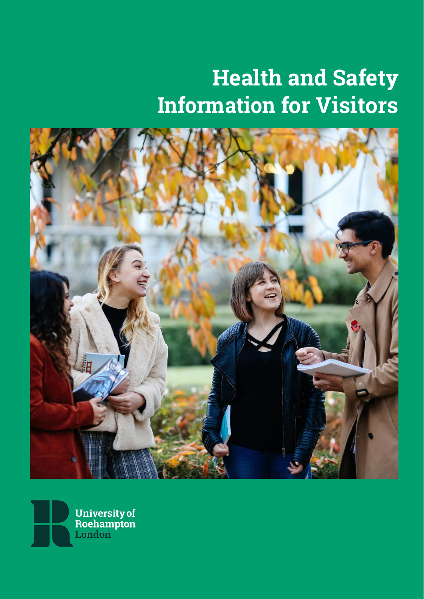# Health and Safety Information for Visitors



**University of<br>Roehampton<br>London**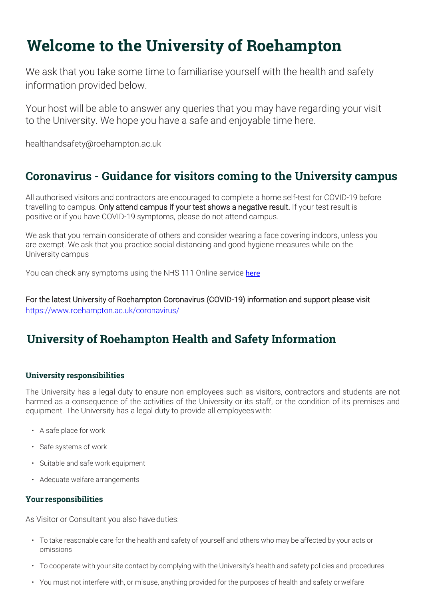# Welcome to the University of Roehampton

We ask that you take some time to familiarise yourself with the health and safety information provided below.

Your host will be able to answer any queries that you may have regarding your visit to the University. We hope you have a safe and enjoyable time here.

[healthandsafety@roehampton.ac.uk](mailto:healthandsafety@roehampton.ac.uk)

## Coronavirus - Guidance for visitors coming to the University campus

All authorised visitors and contractors are encouraged to complete a home self-test for COVID-19 before travelling to campus. Only attend campus if your test shows a negative result. If your test result is positive or if you have COVID-19 symptoms, please do not attend campus.

We ask that you remain considerate of others and consider wearing a face covering indoors, unless you are exempt. We ask that you practice social distancing and good hygiene measures while on the University campus

You can check any symptoms using the NHS 111 Online service [here](https://111.nhs.uk/covid-19/)

For the latest University of Roehampton Coronavirus (COVID-19) information and support please visit <https://www.roehampton.ac.uk/coronavirus/>

# University of Roehampton Health and Safety Information

### University responsibilities

The University has a legal duty to ensure non employees such as visitors, contractors and students are not harmed as a consequence of the activities of the University or its staff, or the condition of its premises and equipment. The University has a legal duty to provide all employeeswith:

- A safe place for work
- Safe systems of work
- Suitable and safe work equipment
- Adequate welfare arrangements

#### Your responsibilities

As Visitor or Consultant you also have duties:

- To take reasonable care for the health and safety of yourself and others who may be affected by your acts or omissions
- To cooperate with your site contact by complying with the University's health and safety policies and procedures
- You must not interfere with, or misuse, anything provided for the purposes of health and safety orwelfare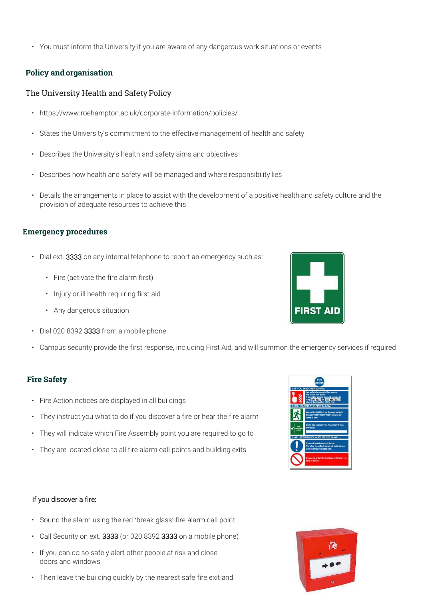• You must inform the University if you are aware of any dangerous work situations or events

#### Policy andorganisation

#### The University Health and Safety Policy

- https://www.roehampton.ac.uk/corporate-information/policies/
- States the University's commitment to the effective management of health and safety
- Describes the University's health and safety aims and objectives
- Describes how health and safety will be managed and where responsibility lies
- Details the arrangements in place to assist with the development of a positive health and safety culture and the provision of adequate resources to achieve this

#### Emergency procedures

- Dial ext. 3333 on any internal telephone to report an emergency such as:
	- Fire (activate the fire alarm first)
	- Injury or ill health requiring first aid
	- Any dangerous situation
- Dial 020 8392 3333 from a mobile phone
- Campus security provide the first response, including First Aid, and will summon the emergency services if required

#### Fire Safety

- Fire Action notices are displayed in all buildings
- They instruct you what to do if you discover a fire or hear the fire alarm
- They will indicate which Fire Assembly point you are required to go to
- They are located close to all fire alarm call points and building exits

#### If you discover a fire:

- Sound the alarm using the red 'break glass' fire alarm call point
- Call Security on ext. 3333 (or 020 8392 3333 on a mobile phone)
- If you can do so safely alert other people at risk and close doors and windows
- Then leave the building quickly by the nearest safe fire exit and